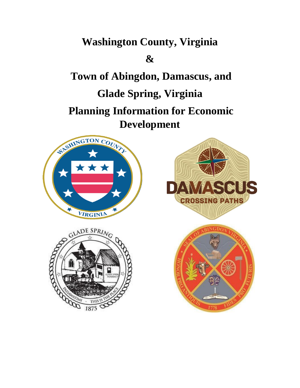# **Washington County, Virginia**

# **&**

**Town of Abingdon, Damascus, and Glade Spring, Virginia Planning Information for Economic Development**







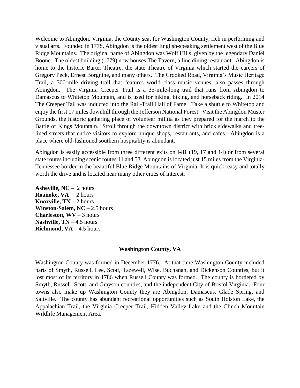Welcome to Abingdon, Virginia, the County seat for Washington County, rich in performing and visual arts. Founded in 1778, Abingdon is the oldest English-speaking settlement west of the Blue Ridge Mountains. The original name of Abingdon was Wolf Hills, given by the legendary Daniel Boone. The oldest building (1779) now houses The Tavern, a fine dining restaurant. Abingdon is home to the historic Barter Theatre, the state Theatre of Virginia which started the careers of Gregory Peck, Ernest Borgnine, and many others. The Crooked Road, Virginia's Music Heritage Trail, a 300-mile driving trail that features world class music venues, also passes through Abingdon. The Virginia Creeper Trail is a 35-mile-long trail that runs from Abingdon to Damascus to Whitetop Mountain, and is used for hiking, biking, and horseback riding. In 2014 The Creeper Tail was inducted into the Rail-Trail Hall of Fame. Take a shuttle to Whitetop and enjoy the first 17 miles downhill through the Jefferson National Forest. Visit the Abingdon Muster Grounds, the historic gathering place of volunteer militia as they prepared for the march to the Battle of Kings Mountain. Stroll through the downtown district with brick sidewalks and treelined streets that entice visitors to explore unique shops, restaurants, and cafes. Abingdon is a place where old-fashioned southern hospitality is abundant.

Abingdon is easily accessible from three different exits on I-81 (19, 17 and 14) or from several state routes including scenic routes 11 and 58. Abingdon is located just 15 miles from the Virginia-Tennessee border in the beautiful Blue Ridge Mountains of Virginia. It is quick, easy and totally worth the drive and is located near many other cities of interest.

**Asheville, NC** – 2 hours **Roanoke, VA** – 2 hours **Knoxville,**  $TN - 2$  **hours Winston-Salem, NC** – 2.5 hours **Charleston, WV** – 3 hours **Nashville, TN** – 4.5 hours **Richmond,**  $VA - 4.5$  **hours** 

#### **Washington County, VA**

Washington County was formed in December 1776. At that time Washington County included parts of Smyth, Russell, Lee, Scott, Tazewell, Wise, Buchanan, and Dickenson Counties, but it lost most of its territory in 1786 when Russell County was formed. The county is bordered by Smyth, Russell, Scott, and Grayson counties, and the independent City of Bristol Virginia. Four towns also make up Washington County they are Abingdon, Damascus, Glade Spring, and Saltville. The county has abundant recreational opportunities such as South Holston Lake, the Appalachian Trail, the Virginia Creeper Trail, Hidden Valley Lake and the Clinch Mountain Wildlife Management Area.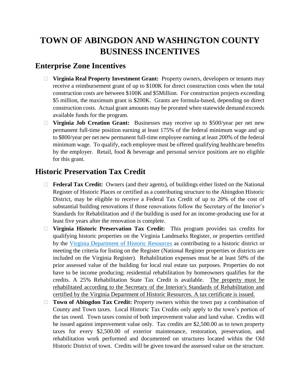# **TOWN OF ABINGDON AND WASHINGTON COUNTY BUSINESS INCENTIVES**

## **Enterprise Zone Incentives**

- **Virginia Real Property Investment Grant:** Property owners, developers or tenants may receive a reimbursement grant of up to \$100K for direct construction costs when the total construction costs are between \$100K and \$5Million. For construction projects exceeding \$5 million, the maximum grant is \$200K. Grants are formula-based, depending on direct construction costs. Actual grant amounts may be prorated when statewide demand exceeds available funds for the program.
- **Virginia Job Creation Grant:** Businesses may receive up to \$500/year per net new permanent full-time position earning at least 175% of the federal minimum wage and up to \$800/year per net new permanent full-time employee earning at least 200% of the federal minimum wage. To qualify, each employee must be offered qualifying healthcare benefits by the employer. Retail, food & beverage and personal service positions are no eligible for this grant.

# **Historic Preservation Tax Credit**

- **Federal Tax Credit:** Owners (and their agents), of buildings either listed on the National Register of Historic Places or certified as a contributing structure to the Abingdon Historic District, may be eligible to receive a Federal Tax Credit of up to 20% of the cost of substantial building renovations if those renovations follow the Secretary of the Interior's Standards for Rehabilitation and if the building is used for an income-producing use for at least five years after the renovation is complete.
- **Virginia Historic Preservation Tax Credit:** This program provides tax credits for qualifying historic properties on the Virginia Landmarks Register, or properties certified by the [Virginia Department of Historic Resources](http://www.dhr.virginia.gov/) as contributing to a historic district or meeting the criteria for listing on the Register (National Register properties or districts are included on the Virginia Register). Rehabilitation expenses must be at least 50% of the prior assessed value of the building for local real estate tax purposes. Properties do not have to be income producing; residential rehabilitation by homeowners qualifies for the credits. A 25% Rehabilitation State Tax Credit is available. The property must be rehabilitated according to the Secretary of the Interior's Standards of Rehabilitation and certified by the Virginia Department of Historic Resources. A tax certificate is issued.
- **Town of Abingdon Tax Credit:** Property owners within the town pay a combination of County and Town taxes. Local Historic Tax Credits only apply to the town's portion of the tax owed. Town taxes consist of both improvement value and land value. Credits will be issued against improvement value only. Tax credits are \$2,500.00 as to town property taxes for every \$2,500.00 of exterior maintenance, restoration, preservation, and rehabilitation work performed and documented on structures located within the Old Historic District of town. Credits will be given toward the assessed value on the structure.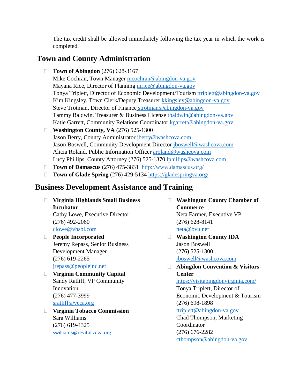The tax credit shall be allowed immediately following the tax year in which the work is completed.

# **Town and County Administration**

**Town of Abingdon** (276) 628-3167

Mike Cochran, Town Manager [mcochran@abingdon-va.gov](mailto:mcochran@abingdon-va.gov) Mayana Rice, Director of Planning [mrice@abingdon-va.gov](mailto:mrice@abingdon-va.gov) Tonya Triplett, Director of Economic Development/Tourism [ttriplett@abingdon-va.gov](mailto:ttriplett@abingdon-va.gov) Kim Kingsley, Town Clerk/Deputy Treasurer [kkingsley@abingdon-va.gov](mailto:kkingsley@abingdon-va.gov) Steve Trotman, Director of Finance [strotman@abingdon-va.gov](mailto:strotman@abingdon-va.gov) Tammy Baldwin, Treasurer & Business License [tbaldwin@abingdon-va.gov](mailto:tbaldwin@abingdon-va.gov) Katie Garrett, Community Relations Coordinator [kgarrett@abingdon-va.gov](mailto:kgarrett@abingdon-va.gov)

- **Washington County, VA** (276) 525-1300 Jason Berry, County Administrator [jberry@washcova.com](mailto:jberry@washcova.com) Jason Boswell, Community Development Director [jboswell@washcova.com](mailto:jboswell@washcova.com) Alicia Roland, Public Information Officer [aroland@washcova.com](mailto:aroland@washcova.com) Lucy Phillips, County Attorney (276) 525-1370 [lphillips@washcova.com](mailto:lphillips@washcova.com)
- □ **Town of Damascus** (276) 475-3831 <http://www.damascus.org/>
- **Town of Glade Spring** (276) 429-5134 <https://gladespringva.org/>

#### **Business Development Assistance and Training**

- **Virginia Highlands Small Business Incubator** Cathy Lowe, Executive Director (276) 492-2060 [clowe@vhsbi.com](mailto:clowe@vhsbi.com)
- **People Incorporated**  Jeremy Repass, Senior Business Development Manager (276) 619-2265 [jrepass@peopleinc.net](mailto:jrepass@peopleinc.net)
- **Virginia Community Capital** Sandy Ratliff, VP Community Innovation (276) 477-3999 [sratliff@vcca.org](mailto:sratliff@vcca.org)
- **Virginia Tobacco Commission** Sara Williams (276) 619-4325 [swilliams@revitalizeva.org](mailto:swilliams@revitalizeva.org)
- **Washington County Chamber of Commerce** Neta Farmer, Executive VP (276) 628-8141 [neta@bvu.net](mailto:neta@bvu.net)
- **Washington County IDA** Jason Boswell (276) 525-1300 [jboswell@washcova.com](mailto:jboswell@washcova.com)
- **Abingdon Convention & Visitors Center**

<https://visitabingdonvirginia.com/> Tonya Triplett, Director of Economic Development & Tourism (276) 698-1898

#### [ttriplett@abingdon-va.gov](mailto:ttriplett@abingdon-va.gov)

Chad Thompson, Marketing Coordinator (276) 676-2282 [cthompson@abingdon-va.gov](mailto:cthompson@abingdon-va.gov)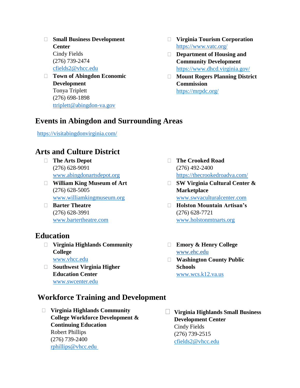- **Small Business Development Center** Cindy Fields (276) 739-2474 [cfields2@vhcc.edu](mailto:cfields2@vhcc.edu)
- **Town of Abingdon Economic Development** Tonya Triplett (276) 698-1898 [ttriplett@abingdon-va.gov](mailto:ttriplett@abingdon-va.gov)
- **Virginia Tourism Corporation** <https://www.vatc.org/>
- **Department of Housing and Community Development** <https://www.dhcd.virginia.gov/>
- **Mount Rogers Planning District Commission** <https://mrpdc.org/>

# **Events in Abingdon and Surrounding Areas**

<https://visitabingdonvirginia.com/>

# **Arts and Culture District**

- **The Arts Depot** (276) 628-9091 [www.abingdonartsdepot.org](http://www.abingdonartsdepot.org/)
- **William King Museum of Art** (276) 628-5005 [www.williamkingmuseum.org](http://www.williamkingmuseum.org/)
- **Barter Theatre** (276) 628-3991 [www.bartertheatre.com](http://www.bartertheatre.com/)

#### **Education**

- **Virginia Highlands Community College** [www.vhcc.edu](http://www.vhcc.edu/)
- **Southwest Virginia Higher Education Center** [www.swcenter.edu](http://www.swcenter.edu/)
- **The Crooked Road** (276) 492-2400 <https://thecrookedroadva.com/>
- **SW Virginia Cultural Center & Marketplace** [www.swvaculturalcenter.com](http://www.swvaculturalcenter.com/)
- **Holston Mountain Artisan's** (276) 628-7721 [www.holstonmtnarts.org](http://www.holstonmtnarts.org/)
- **Emory & Henry College** [www.ehc.edu](http://www.ehc.edu/)
- **Washington County Public Schools** [www.wcs.k12.va.us](http://www.wcs.k12.va.us/)
- **Workforce Training and Development**
	- **Virginia Highlands Community College Workforce Development & Continuing Education** Robert Phillips (276) 739-2400 [rphillips@vhcc.edu](mailto:rphillips@vhcc.edu)
- **Virginia Highlands Small Business Development Center** Cindy Fields (276) 739-2515 [cfields2@vhcc.edu](mailto:cfields2@vhcc.edu)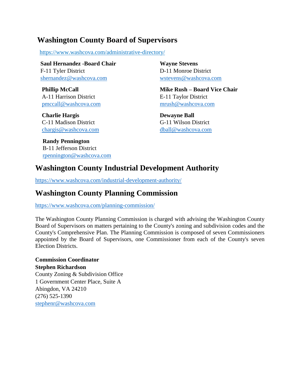### **Washington County Board of Supervisors**

<https://www.washcova.com/administrative-directory/>

 **Saul Hernandez -Board Chair** F-11 Tyler District [shernandez@washcova.com](mailto:shernandez@washcova.com)

 **Phillip McCall** A-11 Harrison District [pmccall@washcova.com](mailto:pmccall@washcova.com)

 **Charlie Hargis** C-11 Madison District [chargis@washcova.com](mailto:chargis@washcova.com)

 **Randy Pennington** B-11 Jefferson District [rpennington@washcova.com](mailto:rpennington@washcova.com) 

**Wayne Stevens** D-11 Monroe District [wstevens@washcova.com](mailto:wstevens@washcova.com)

**Mike Rush – Board Vice Chair** E-11 Taylor District [mrush@washcova.com](mailto:mrush@washcova.com)

**Dewayne Ball** G-11 Wilson District [dball@washcova.com](mailto:dball@washcova.com)

# **Washington County Industrial Development Authority**

<https://www.washcova.com/industrial-development-authority/>

## **Washington County Planning Commission**

<https://www.washcova.com/planning-commission/>

The Washington County Planning Commission is charged with advising the Washington County Board of Supervisors on matters pertaining to the County's zoning and subdivision codes and the County's Comprehensive Plan. The Planning Commission is composed of seven Commissioners appointed by the Board of Supervisors, one Commissioner from each of the County's seven Election Districts.

**Commission Coordinator Stephen Richardson** County Zoning & Subdivision Office 1 Government Center Place, Suite A Abingdon, VA 24210 (276) 525-1390 [stephenr@washcova.com](mailto:stephenr@washcova.com)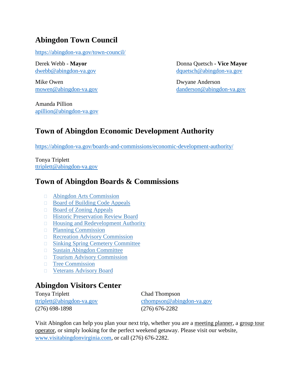# **Abingdon Town Council**

<https://abingdon-va.gov/town-council/>

Mike Owen Dwyane Anderson

Amanda Pillion [apillion@abingdon-va.gov](mailto:apillion@abingdon-va.gov)

Derek Webb - **Mayor** Donna Quetsch **- Vice Mayor** [dwebb@abingdon-va.gov](mailto:dwebb@abingdon-va.gov) [dquetsch@abingdon-va.gov](mailto:dquetsch@abingdon-va.gov)

[mowen@abingdon-va.gov](mailto:mowen@abingdon-va.gov) [danderson@abingdon-va.gov](mailto:danderson@abingdon-va.gov)

# **Town of Abingdon Economic Development Authority**

<https://abingdon-va.gov/boards-and-commissions/economic-development-authority/>

Tonya Triplett [ttriplett@abingdon-va.gov](mailto:ttriplett@abingdon-va.gov)

# **Town of Abingdon Boards & Commissions**

- **E** [Abingdon Arts Commission](https://abingdon-va.gov/boards-and-commissions/abingdon-arts-commission/)
- [Board of Building Code Appeals](https://abingdon-va.gov/?page_id=57)
- □ [Board of Zoning Appeals](https://abingdon-va.gov/?page_id=60)
- **[Historic Preservation](https://abingdon-va.gov/?page_id=72) Review Board**
- □ [Housing and Redevelopment Authority](https://abingdon-va.gov/?page_id=68)
- **[Planning Commission](https://abingdon-va.gov/?page_id=75)**
- **[Recreation Advisory Commission](https://abingdon-va.gov/?page_id=77)**
- **[Sinking Spring Cemetery Committee](https://abingdon-va.gov/?page_id=80)**
- [Sustain Abingdon Committee](https://abingdon-va.gov/?page_id=82)
- [Tourism Advisory Commission](https://abingdon-va.gov/?page_id=84)
- **[Tree Commission](https://abingdon-va.gov/?page_id=86)**
- [Veterans Advisory Board](https://abingdon-va.gov/veterans-advisory-board)

# **Abingdon Visitors Center**

Tonya Triplett Chad Thompson (276) 698-1898 (276) 676-2282

[ttriplett@abingdon-va.gov](mailto:ttriplett@abingdon-va.gov) [cthompson@abingdon-va.gov](mailto:cthompson@abingdon-va.gov)

Visit Abingdon can help you plan your next trip, whether you are a [meeting](http://visitabingdonvirginia.com/meeting-planners/) planner, a [group](http://visitabingdonvirginia.com/tour-operators/) tour [operator,](http://visitabingdonvirginia.com/tour-operators/) or simply looking for the perfect weekend getaway. Please visit our website, [www.visitabingdonvirginia.com,](http://www.visitabingdonvirginia.com/) or call (276) 676-2282.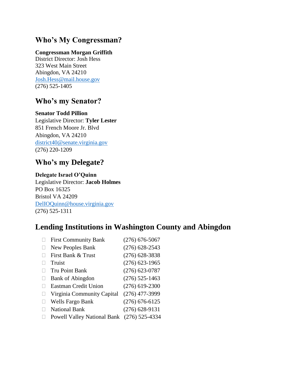## **Who's My Congressman?**

#### **Congressman Morgan Griffith**

District Director: Josh Hess 323 West Main Street Abingdon, VA 24210 [Josh.Hess@mail.house.gov](mailto:Josh.Hess@mail.house.gov) (276) 525-1405

#### **Who's my Senator?**

**Senator Todd Pillion** Legislative Director: **Tyler Lester** 851 French Moore Jr. Blvd Abingdon, VA 24210 [district40@senate.virginia.gov](mailto:district40@senate.virginia.gov) (276) 220-1209

#### **Who's my Delegate?**

#### **Delegate Israel O'Quinn**

Legislative Director: **Jacob Holmes** PO Box 16325 Bristol VA 24209 [DelIOQuinn@house.virginia.gov](mailto:DelIOQuinn@house.virginia.gov) (276) 525-1311

### **Lending Institutions in Washington County and Abingdon**

| <b>First Community Bank</b>        | $(276)$ 676-5067 |
|------------------------------------|------------------|
| New Peoples Bank                   | $(276)$ 628-2543 |
| First Bank & Trust                 | $(276)$ 628-3838 |
| Truist                             | $(276)$ 623-1965 |
| Tru Point Bank                     | $(276)$ 623-0787 |
| <b>Bank of Abingdon</b>            | $(276)$ 525-1463 |
| <b>Eastman Credit Union</b>        | $(276)$ 619-2300 |
| Virginia Community Capital         | $(276)$ 477-3999 |
| Wells Fargo Bank                   | $(276)$ 676-6125 |
| <b>National Bank</b>               | $(276)$ 628-9131 |
| <b>Powell Valley National Bank</b> | $(276)$ 525-4334 |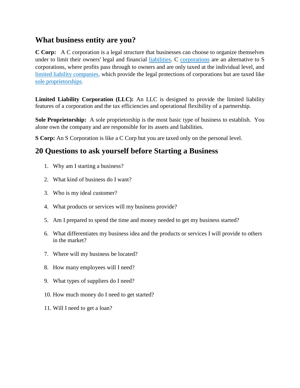### **What business entity are you?**

**C Corp:** A C corporation is a legal structure that businesses can choose to organize themselves under to limit their owners' legal and financial [liabilities.](http://www.investopedia.com/terms/l/liability.asp) C [corporations](http://www.investopedia.com/terms/c/corporation.asp) are an alternative to S corporations, where profits pass through to owners and are only taxed at the individual level, and [limited liability companies,](http://www.investopedia.com/terms/l/llc.asp) which provide the legal protections of corporations but are taxed like [sole proprietorships.](http://www.investopedia.com/terms/s/soleproprietorship.asp)

**Limited Liability Corporation (LLC):** An LLC is designed to provide the limited liability features of a corporation and the tax efficiencies and operational flexibility of a partnership.

**Sole Proprietorship:** A sole proprietorship is the most basic type of business to establish. You alone own the company and are responsible for its assets and liabilities.

**S Corp:** An S Corporation is like a C Corp but you are taxed only on the personal level.

# **20 Questions to ask yourself before Starting a Business**

- 1. Why am I starting a business?
- 2. What kind of business do I want?
- 3. Who is my ideal customer?
- 4. What products or services will my business provide?
- 5. Am I prepared to spend the time and money needed to get my business started?
- 6. What differentiates my business idea and the products or services I will provide to others in the market?
- 7. Where will my business be located?
- 8. How many employees will I need?
- 9. What types of suppliers do I need?
- 10. How much money do I need to get started?
- 11. Will I need to get a loan?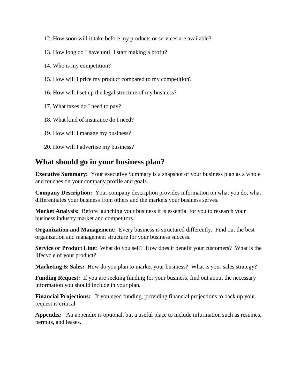- 12. How soon will it take before my products or services are available?
- 13. How long do I have until I start making a profit?
- 14. Who is my competition?
- 15. How will I price my product compared to my competition?
- 16. How will I set up the legal structure of my business?
- 17. What taxes do I need to pay?
- 18. What kind of insurance do I need?
- 19. How will I manage my business?
- 20. How will I advertise my business?

#### **What should go in your business plan?**

**Executive Summary:** Your executive Summary is a snapshot of your business plan as a whole and touches on your company profile and goals.

**Company Description:** Your company description provides information on what you do, what differentiates your business from others and the markets your business serves.

**Market Analysis:** Before launching your business it is essential for you to research your business industry market and competitors.

**Organization and Management:** Every business is structured differently. Find out the best organization and management structure for your business success.

**Service or Product Line:** What do you sell? How does it benefit your customers? What is the lifecycle of your product?

**Marketing & Sales:** How do you plan to market your business? What is your sales strategy?

**Funding Request:** If you are seeking funding for your business, find out about the necessary information you should include in your plan.

**Financial Projections:** If you need funding, providing financial projections to back up your request is critical.

**Appendix:** An appendix is optional, but a useful place to include information such as resumes, permits, and leases.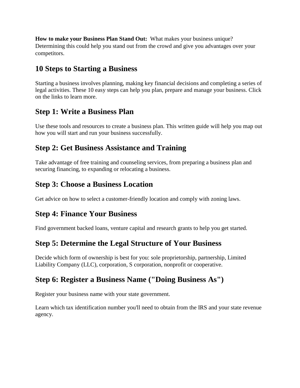**How to make your Business Plan Stand Out:** What makes your business unique? Determining this could help you stand out from the crowd and give you advantages over your competitors.

# **10 Steps to Starting a Business**

Starting a business involves planning, making key financial decisions and completing a series of legal activities. These 10 easy steps can help you plan, prepare and manage your business. Click on the links to learn more.

# **[Step 1: Write a Business Plan](https://www.sba.gov/category/navigation-structure/starting-managing-business/starting-business/how-write-business-plan)**

Use these tools and resources to create a business plan. This written guide will help you map out how you will start and run your business successfully.

# **[Step 2: Get Business Assistance and Training](https://www.sba.gov/category/navigation-structure/counseling-training)**

Take advantage of free training and counseling services, from preparing a business plan and securing financing, to expanding or relocating a business.

# **[Step 3: Choose a Business Location](https://www.sba.gov/content/tips-choosing-business-location)**

Get advice on how to select a customer-friendly location and comply with zoning laws.

# **[Step 4: Finance Your Business](https://www.sba.gov/category/navigation-structure/loans-grants/small-business-loans/sba-loan-programs)**

Find government backed loans, venture capital and research grants to help you get started.

# **[Step 5: Determine the Legal Structure of Your Business](https://www.sba.gov/content/business-structure-and-tax-implications)**

Decide which form of ownership is best for you: sole proprietorship, partnership, Limited Liability Company (LLC), corporation, S corporation, nonprofit or cooperative.

# **[Step 6: Register a Business Name \("Doing Business As"\)](https://www.sba.gov/content/register-your-fictitious-or-doing-business-dba-name)**

Register your business name with your state government.

Learn which tax identification number you'll need to obtain from the IRS and your state revenue agency.